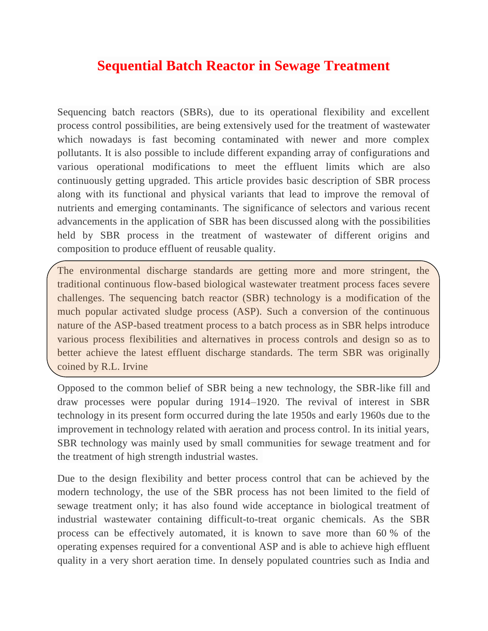# **Sequential Batch Reactor in Sewage Treatment**

Sequencing batch reactors (SBRs), due to its operational flexibility and excellent process control possibilities, are being extensively used for the treatment of wastewater which nowadays is fast becoming contaminated with newer and more complex pollutants. It is also possible to include different expanding array of configurations and various operational modifications to meet the effluent limits which are also continuously getting upgraded. This article provides basic description of SBR process along with its functional and physical variants that lead to improve the removal of nutrients and emerging contaminants. The significance of selectors and various recent advancements in the application of SBR has been discussed along with the possibilities held by SBR process in the treatment of wastewater of different origins and composition to produce effluent of reusable quality.

The environmental discharge standards are getting more and more stringent, the traditional continuous flow-based biological wastewater treatment process faces severe challenges. The sequencing batch reactor (SBR) technology is a modification of the much popular activated sludge process (ASP). Such a conversion of the continuous nature of the ASP-based treatment process to a batch process as in SBR helps introduce various process flexibilities and alternatives in process controls and design so as to better achieve the latest effluent discharge standards. The term SBR was originally coined by R.L. Irvine

Opposed to the common belief of SBR being a new technology, the SBR-like fill and draw processes were popular during 1914–1920. The revival of interest in SBR technology in its present form occurred during the late 1950s and early 1960s due to the improvement in technology related with aeration and process control. In its initial years, SBR technology was mainly used by small communities for sewage treatment and for the treatment of high strength industrial wastes.

Due to the design flexibility and better process control that can be achieved by the modern technology, the use of the SBR process has not been limited to the field of sewage treatment only; it has also found wide acceptance in biological treatment of industrial wastewater containing difficult-to-treat organic chemicals. As the SBR process can be effectively automated, it is known to save more than 60 % of the operating expenses required for a conventional ASP and is able to achieve high effluent quality in a very short aeration time. In densely populated countries such as India and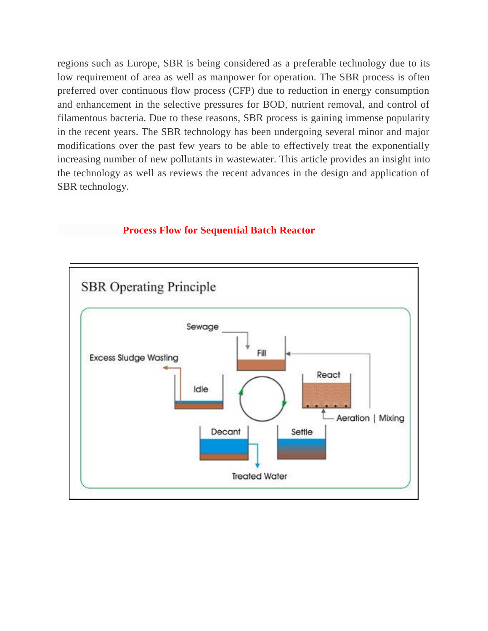regions such as Europe, SBR is being considered as a preferable technology due to its low requirement of area as well as manpower for operation. The SBR process is often preferred over continuous flow process (CFP) due to reduction in energy consumption and enhancement in the selective pressures for BOD, nutrient removal, and control of filamentous bacteria. Due to these reasons, SBR process is gaining immense popularity in the recent years. The SBR technology has been undergoing several minor and major modifications over the past few years to be able to effectively treat the exponentially increasing number of new pollutants in wastewater. This article provides an insight into the technology as well as reviews the recent advances in the design and application of SBR technology.

#### **Process Flow for Sequential Batch Reactor**

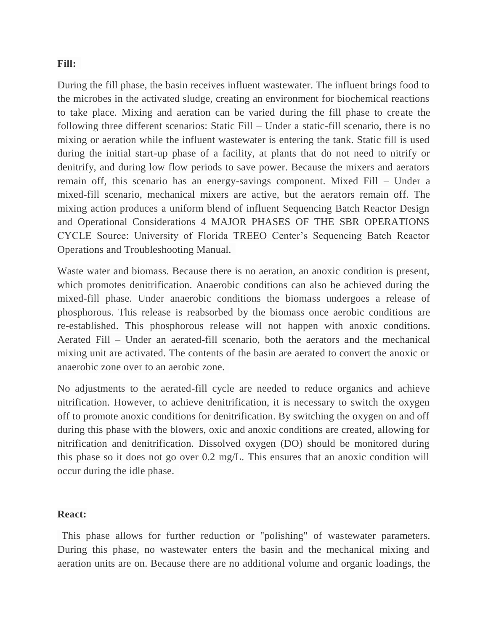#### **Fill:**

During the fill phase, the basin receives influent wastewater. The influent brings food to the microbes in the activated sludge, creating an environment for biochemical reactions to take place. Mixing and aeration can be varied during the fill phase to create the following three different scenarios: Static Fill – Under a static-fill scenario, there is no mixing or aeration while the influent wastewater is entering the tank. Static fill is used during the initial start-up phase of a facility, at plants that do not need to nitrify or denitrify, and during low flow periods to save power. Because the mixers and aerators remain off, this scenario has an energy-savings component. Mixed Fill – Under a mixed-fill scenario, mechanical mixers are active, but the aerators remain off. The mixing action produces a uniform blend of influent Sequencing Batch Reactor Design and Operational Considerations 4 MAJOR PHASES OF THE SBR OPERATIONS CYCLE Source: University of Florida TREEO Center's Sequencing Batch Reactor Operations and Troubleshooting Manual.

Waste water and biomass. Because there is no aeration, an anoxic condition is present, which promotes denitrification. Anaerobic conditions can also be achieved during the mixed-fill phase. Under anaerobic conditions the biomass undergoes a release of phosphorous. This release is reabsorbed by the biomass once aerobic conditions are re-established. This phosphorous release will not happen with anoxic conditions. Aerated Fill – Under an aerated-fill scenario, both the aerators and the mechanical mixing unit are activated. The contents of the basin are aerated to convert the anoxic or anaerobic zone over to an aerobic zone.

No adjustments to the aerated-fill cycle are needed to reduce organics and achieve nitrification. However, to achieve denitrification, it is necessary to switch the oxygen off to promote anoxic conditions for denitrification. By switching the oxygen on and off during this phase with the blowers, oxic and anoxic conditions are created, allowing for nitrification and denitrification. Dissolved oxygen (DO) should be monitored during this phase so it does not go over 0.2 mg/L. This ensures that an anoxic condition will occur during the idle phase.

#### **React:**

This phase allows for further reduction or "polishing" of wastewater parameters. During this phase, no wastewater enters the basin and the mechanical mixing and aeration units are on. Because there are no additional volume and organic loadings, the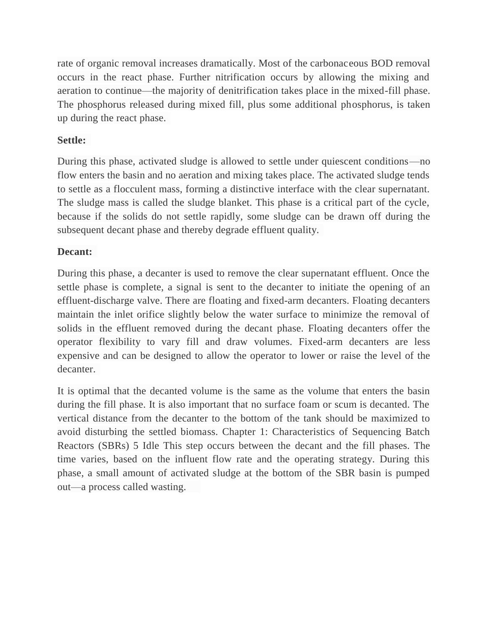rate of organic removal increases dramatically. Most of the carbonaceous BOD removal occurs in the react phase. Further nitrification occurs by allowing the mixing and aeration to continue—the majority of denitrification takes place in the mixed-fill phase. The phosphorus released during mixed fill, plus some additional phosphorus, is taken up during the react phase.

### **Settle:**

During this phase, activated sludge is allowed to settle under quiescent conditions—no flow enters the basin and no aeration and mixing takes place. The activated sludge tends to settle as a flocculent mass, forming a distinctive interface with the clear supernatant. The sludge mass is called the sludge blanket. This phase is a critical part of the cycle, because if the solids do not settle rapidly, some sludge can be drawn off during the subsequent decant phase and thereby degrade effluent quality.

## **Decant:**

During this phase, a decanter is used to remove the clear supernatant effluent. Once the settle phase is complete, a signal is sent to the decanter to initiate the opening of an effluent-discharge valve. There are floating and fixed-arm decanters. Floating decanters maintain the inlet orifice slightly below the water surface to minimize the removal of solids in the effluent removed during the decant phase. Floating decanters offer the operator flexibility to vary fill and draw volumes. Fixed-arm decanters are less expensive and can be designed to allow the operator to lower or raise the level of the decanter.

It is optimal that the decanted volume is the same as the volume that enters the basin during the fill phase. It is also important that no surface foam or scum is decanted. The vertical distance from the decanter to the bottom of the tank should be maximized to avoid disturbing the settled biomass. Chapter 1: Characteristics of Sequencing Batch Reactors (SBRs) 5 Idle This step occurs between the decant and the fill phases. The time varies, based on the influent flow rate and the operating strategy. During this phase, a small amount of activated sludge at the bottom of the SBR basin is pumped out—a process called wasting.